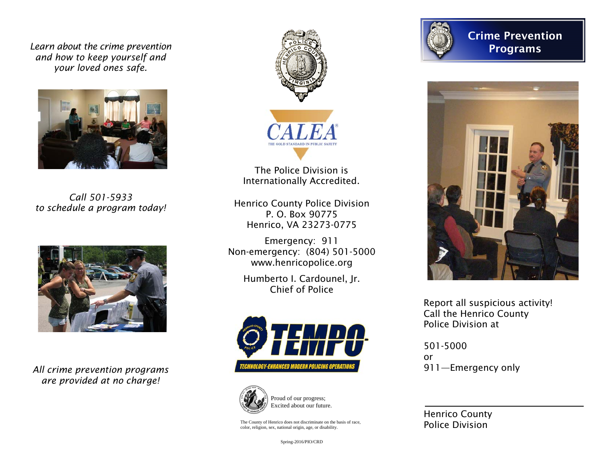*Learn about the crime prevention and how to keep yourself and your loved ones safe.* 



*Call 501-5933 to schedule a program today!* 



*All crime prevention programs are provided at no charge!* 



The Police Division is Internationally Accredited.

Henrico County Police Division P. O. Box 90775 Henrico, VA 23273-0775

Emergency: 911 Non-emergency: (804) 501-5000 www.henricopolice.org

> Humberto I. Cardounel, Jr. Chief of Police





Proud of our progress; Excited about our future.

The County of Henrico does not discriminate on the basis of race, color, religion, sex, national origin, age, or disability.



Crime Prevention Programs



Report all suspicious activity! Call the Henrico County Police Division at

501-5000 or 911—Emergency only

Henrico County Police Division